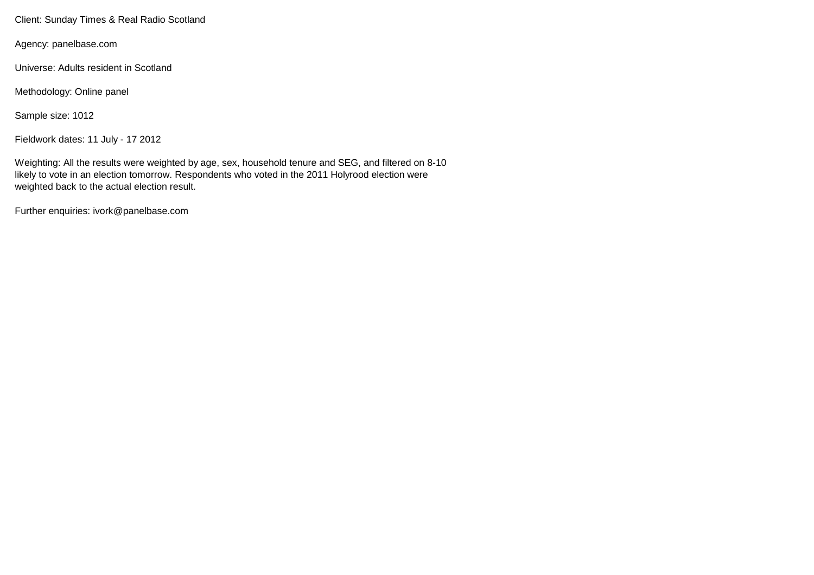Client: Sunday Times & Real Radio Scotland

Agency: panelbase.com

Universe: Adults resident in Scotland

Methodology: Online panel

Sample size: 1012

Fieldwork dates: 11 July - 17 2012

Weighting: All the results were weighted by age, sex, household tenure and SEG, and filtered on 8-10 likely to vote in an election tomorrow. Respondents who voted in the 2011 Holyrood election were weighted back to the actual election result.

Further enquiries: ivork@panelbase.com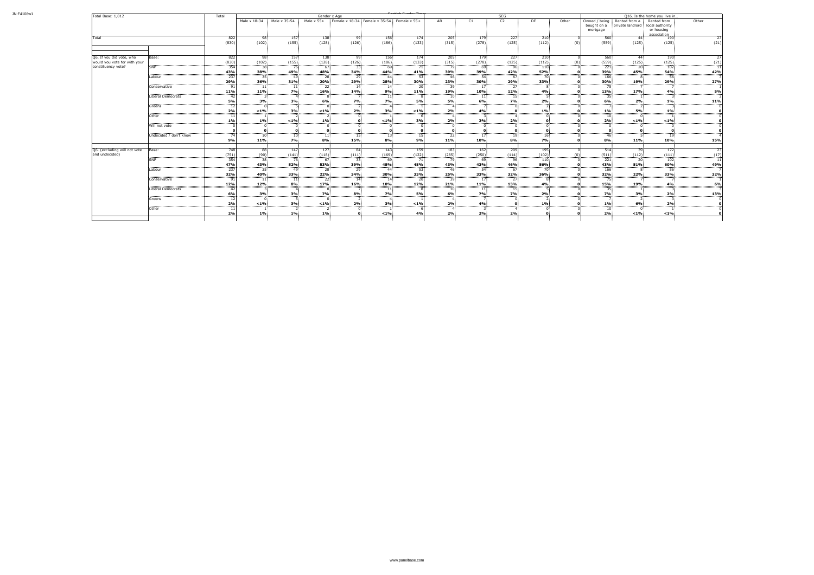| Total Base: 1,012            |                        | Total            | Gender x Age    |                           |                        |                                                                                                       |                       |              |                       |                 | SEG              |                     | Q16. Is the home you live in |                                                                      |                                  |                     |            |
|------------------------------|------------------------|------------------|-----------------|---------------------------|------------------------|-------------------------------------------------------------------------------------------------------|-----------------------|--------------|-----------------------|-----------------|------------------|---------------------|------------------------------|----------------------------------------------------------------------|----------------------------------|---------------------|------------|
|                              |                        |                  |                 |                           |                        | Male x $18-34$ : Male x $35-54$ : Male x $55+$ : Female x $18-34$ : Female x $35-54$ : Female x $55+$ |                       |              | AB                    | C1              | C <sub>2</sub>   | DE                  | Other                        | Owned / being: Rented from a: Rented from<br>bought on a<br>mortgage | private landlord local authority | or housing          | Other      |
|                              |                        |                  |                 |                           |                        |                                                                                                       |                       |              |                       |                 |                  |                     |                              |                                                                      |                                  | association         |            |
| Total                        |                        | 822<br>(830)     | -98<br>(102)    | 157 <sup>1</sup><br>(155) | 138<br>(128)           | -99<br>(126)                                                                                          | 156:<br>(186)         | 174<br>(133) | 205:<br>(315)         | 179<br>(278)    | $227 -$<br>(125) | $210^{-7}$<br>(112) |                              | 560<br>(559)                                                         | - 44<br>(125)                    | <b>190</b><br>(125) | (21)       |
|                              |                        |                  |                 |                           |                        |                                                                                                       |                       |              |                       |                 |                  |                     |                              |                                                                      |                                  |                     |            |
| Q6. If you did vote, who     | Base:                  | 822              | -98             | 157                       | 138.                   | 99.                                                                                                   | 156.                  | 174          | 205.                  | 179.            | 227.             | 210                 |                              | 560:                                                                 | 44                               | 190                 |            |
| would you vote for with your |                        | (830)            | (102)           | (155)                     | (128)                  | (126)                                                                                                 | (186)                 | (133)        | (315)                 | (278)           | (125)            | (112)               |                              | (559)                                                                | (125)                            | (125)               | (21)       |
| constituency vote?           | <b>SNP</b>             | 354              | -38             | - 76:                     | - 67                   | 33 <sup>2</sup>                                                                                       | 69.                   |              | 79.                   | 69.             | 96.              | 110                 |                              | 221:                                                                 | $20^{\circ}$                     | 102.                |            |
|                              |                        | 43%              | 38%             | 49%                       | 48%                    | 34%                                                                                                   | 44%                   | 41%          | 39%                   | 39%             | 42%              | 52%                 |                              | 39%                                                                  | 45%                              | <b>54%</b>          | 42%        |
|                              | Labour                 | 237              | -35.            | 49.                       | - 28                   | -29                                                                                                   | -44                   |              | -46:                  | 54.             | - 67             | 70                  |                              | 166                                                                  |                                  | -56                 |            |
|                              |                        | 29%              | 36%             | 31%                       | 20%                    | 29%                                                                                                   | 28%                   | 30%          | 23%                   | 30%             | 29%              | 33%                 |                              | 30%                                                                  | 19%                              | 29%                 | 27%        |
|                              | Conservative           |                  | -11:            | 11.                       | -22:                   | -14                                                                                                   | 14                    |              | 39                    | 17 <sub>1</sub> | 27.              |                     |                              | フロ                                                                   |                                  |                     |            |
|                              |                        | 11%              | 11%             | 7%                        | 16%                    | 14%                                                                                                   | 9%                    | 11%          | 19%                   | 10%             | 12%              | 4%                  |                              | 13%                                                                  | 17%                              | 4%                  | 5%         |
|                              | Liberal Democrats      | -421<br>5%       | 3%              | $-4$<br>3%                |                        | 7%                                                                                                    | 11 <sub>1</sub><br>7% | 5%           | 10 <sub>1</sub><br>5% | 11:<br>6%       | 15.<br>7%        | 2%                  |                              | 6%                                                                   |                                  |                     |            |
|                              |                        | 12 I             |                 | - 51                      | 6%                     |                                                                                                       | $\overline{4}$ :      |              | $\mathbf{A}$          |                 |                  |                     |                              |                                                                      | 2%                               | 1%                  | 11%        |
|                              | Greens                 | 2%               | $< 1\%$         | 3%                        | $< 1\%$                | 2%                                                                                                    | 3%                    | $< 1\%$      | 2%                    | 4%              |                  | $1\%$               |                              | $1\%$                                                                | <b>5%</b>                        | $1\%$               |            |
|                              | Other                  | 111              |                 | $\overline{2}$            |                        |                                                                                                       |                       |              |                       |                 |                  |                     |                              | $10^{\circ}$                                                         |                                  |                     |            |
|                              |                        | $1\%$            | $1\%$           | $< 1\%$                   | 1%                     |                                                                                                       | $< 1\%$               | 3%           | 2%                    | 2%              | 2%               |                     |                              | 2%                                                                   | $< 1\%$                          | $< 1\%$             |            |
|                              | Will not vote          |                  |                 | $\Omega$                  |                        |                                                                                                       |                       |              |                       |                 |                  |                     |                              |                                                                      |                                  |                     |            |
|                              |                        |                  |                 |                           |                        |                                                                                                       |                       |              |                       |                 |                  |                     |                              |                                                                      |                                  |                     |            |
|                              | Undecided / don't know | 74 I             | 10              | 10 <sup>1</sup>           | 11 <sub>1</sub>        | 15.                                                                                                   | 13 <sup>1</sup>       |              | $22^{\circ}$          | 17 <sub>1</sub> | 19.              | $16 -$              |                              | -46                                                                  |                                  | 19                  |            |
|                              |                        | 9%               | 11%             | 7%                        | 8%                     | 15%                                                                                                   | 8%                    | 9%           | 11%                   | 10%             | 8%               | 7%                  |                              | 8%                                                                   | 11%                              | 10%                 | <b>15%</b> |
| Q6. (excluding will not vote | Base:                  | 748 <sup>I</sup> | 88 <sup>1</sup> | 147 <sup>2</sup>          | 127.                   | 84.                                                                                                   | 143                   | 159          | 183                   | 162             | 209              | 195:                |                              | 514:                                                                 | 39                               | 172                 |            |
| and undecided)               |                        | (751)            | (90)            | (141)                     | (118)                  | (111)                                                                                                 | (169)                 | (122)        | (285)                 | (250)           | (114)            | (102)               |                              | (511)                                                                | $(112)$ :                        | (111)               |            |
|                              | <b>SNP</b>             | 354              | 38.             | 76.                       | - 67                   | 33                                                                                                    | 69                    |              | -79.                  | -69             | 96:              | 110                 |                              | 221:                                                                 | 20:                              | 102                 |            |
|                              |                        | 47%              | 43%<br>-351     | 52%                       | <b>53%</b>             | 39%                                                                                                   | 48%<br>44.            | 45%          | 43%<br>-46.           | 43%             | 46%              | <b>56%</b>          |                              | 43%                                                                  | 51%                              | 60%                 | 49%        |
|                              | Labour                 | 237<br>32%       | 40%             | -49<br>33%                | 28 <sup>1</sup><br>22% | -29.<br>34%                                                                                           | 30%                   | 33%          | 25%                   | 54.<br>33%      | 67.<br>32%       | 36%                 |                              | 166<br>32%                                                           | 22%                              | 56.<br>33%          | 32%        |
|                              | Conservative           |                  |                 | 11                        | -22                    | -14                                                                                                   | 14                    |              |                       | 17.             | 27 <sup>2</sup>  |                     |                              |                                                                      |                                  |                     |            |
|                              |                        | 12%              | 12%             | 8%                        | 17%                    | 16%                                                                                                   | 10%                   | 12%          | 21%                   | 11%             | 13%              | 4%                  |                              | 15%                                                                  | 19%                              |                     | 6%         |
|                              | Liberal Democrats      |                  |                 |                           |                        |                                                                                                       | 11                    |              | 10:                   | 11:             | L5.              |                     |                              |                                                                      |                                  |                     |            |
|                              |                        | 6%               | 3%              | 3%                        | 7%                     | 8%                                                                                                    | 7%                    | 5%           | 6%                    | <b>7%</b>       | 7%               | 2%                  |                              | 7%                                                                   | 3%                               | 2%                  | 13%        |
|                              | Greens                 | 12               |                 |                           |                        |                                                                                                       |                       |              |                       |                 |                  |                     |                              |                                                                      |                                  |                     |            |
|                              |                        | 2%               | $< 1\%$         | 3%                        | $< 1\%$                | 2%                                                                                                    | 3%                    | $< 1\%$      | 2%                    | 4%              |                  | $1\%$               |                              | 1%                                                                   | 6%                               | 2%                  |            |
|                              | Other                  | -111             |                 |                           |                        |                                                                                                       |                       |              |                       |                 |                  |                     |                              | 10                                                                   |                                  |                     |            |
|                              |                        | 2%               | $1\%$           | 1%                        | 1%                     |                                                                                                       | $< 1\%$               | 4%           | 2%                    | 2%              | 2%               |                     |                              | 2%                                                                   | $< 1\%$                          | $< 1\%$             |            |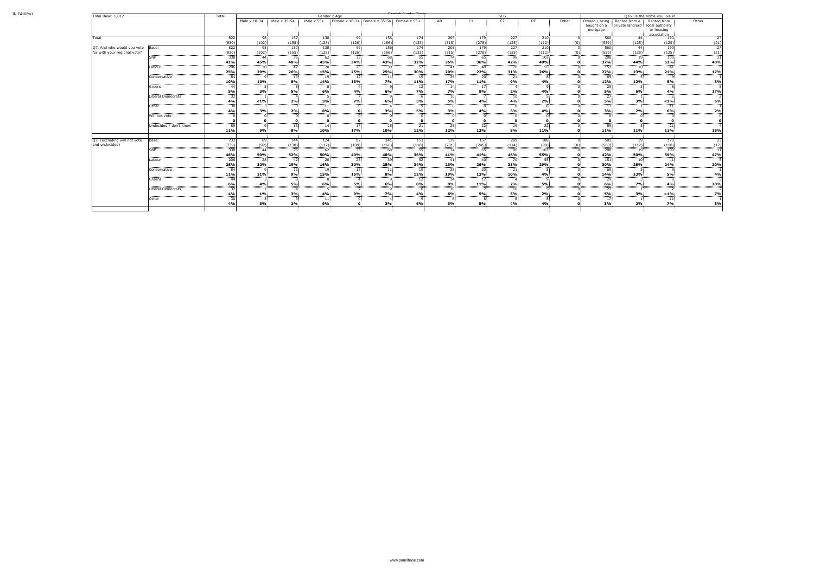| Total Base: 1,012                |                        |                  |                    |                 | Gender x Age           |                                                | SEG<br>Q16. Is the home you live in |           |                        |                 |                 |                 |       |                                          |                                    |                                              |                 |
|----------------------------------|------------------------|------------------|--------------------|-----------------|------------------------|------------------------------------------------|-------------------------------------|-----------|------------------------|-----------------|-----------------|-----------------|-------|------------------------------------------|------------------------------------|----------------------------------------------|-----------------|
|                                  |                        |                  | Male x 18-34       | Male x 35-54    | Male $x$ 55+           | Female x 18-34 : Female x 35-54 : Female x 55+ |                                     |           | AB                     | C1              | C <sub>2</sub>  | DE              | Other | Owned / being<br>bought on a<br>mortgage | Rented from a<br>private landlord: | Rented from<br>local authority<br>or housing | Other           |
| Total                            |                        | 822              | 98                 | 157             | 138                    | 99                                             | 156:                                | 174       | 205                    | 179             | 227             | 210             |       |                                          | 560 <sup>2</sup>                   | association<br>44<br>190                     | $\overline{27}$ |
|                                  |                        | (830)            | (102)              | (155)           | (128)                  | (126)                                          | (186)                               | (133)     | (315)                  | (278)           | (125)           | (112)           |       | (0)                                      | (125)<br>(559)                     | (125)                                        | (21)            |
| Q7. And who would you vote Base: |                        | 822              | 98                 | 157             | 138                    | 99:                                            | 156                                 | 174       | 205                    | 179             | 227             | 210:            |       |                                          | 560                                | 190<br>44                                    | 27              |
| for with your regional vote?     |                        | (830)            | (102)              | (155)           | (128)                  | (126)                                          | (186)                               | (133)     | (315)                  | (278)           | (125)           | (112)           |       |                                          | (125)<br>(559)                     | $(125)$ :                                    | (21)            |
|                                  |                        | 338              | -44                | 76              | $62^{\circ}$           | 33:                                            | 68.                                 | -55 I     | 74.                    | 65              | 96:             | 103.            |       |                                          | $\frac{300}{208}$                  | 100<br>19 <sup>1</sup>                       | -11             |
|                                  |                        | 41%              | 45%                | 48%             | 45%                    | 34%                                            | 43%                                 | 32%       | 36%                    | 36%             | 42%             | 49%             |       |                                          | 37%<br>44%                         | 52%                                          | 40%             |
|                                  | Labour                 | 206              | 28:                | -42             | 20                     | 25:                                            | 39.                                 | 52        | 41                     | -40.            | 70.             | 55.             |       |                                          | 151:                               | 10 <sub>1</sub><br>41.                       | -5              |
|                                  |                        | 25%              | 29%                | 26%             | 15%                    | 25%                                            | 25%                                 | 30%       | 20%                    | 22%             | 31%             | 26%             |       |                                          | 23%<br>27%                         | 21%                                          | 17%             |
|                                  | Conservative           | -84<br>10%       | <b>۰</b> ۵۰<br>10% | 13 <sup>1</sup> | 19 <sub>1</sub><br>14% | 12:<br>13%                                     | 11                                  |           | 35 <sup>2</sup><br>17% | 20:             | 21:<br>9%       |                 |       |                                          | 69.<br>12%                         |                                              |                 |
|                                  |                        | 44               |                    | 8%              |                        | $\overline{a}$                                 | 7%                                  | 11%       |                        | 11%             |                 | 4%              |       |                                          | 12%                                | 5%                                           | 3%              |
|                                  | Greens                 | 5%               | 3%                 | <b>5%</b>       | 6%                     | 4%                                             | 6%                                  | 7%        | 14<br>7%               | 17:<br>9%       | 2%              | 4%              |       |                                          | 29<br>6%<br><b>5%</b>              | 4%                                           | 17%             |
|                                  | Liberal Democrats      | 32               |                    |                 |                        |                                                |                                     |           | 10 <sub>1</sub>        |                 | 10 <sup>°</sup> |                 |       |                                          | -27                                |                                              |                 |
|                                  |                        | 4%               | $< 1\%$            | 2%              | 3%                     | 7%                                             | 6%                                  | 3%        | 5%                     | 4%              | 4%              | 2%              |       |                                          | 5%<br>3%                           | $< 1\%$                                      | 6%              |
|                                  | Other                  |                  |                    |                 | 11                     |                                                |                                     |           | -6                     |                 |                 |                 |       |                                          | 17.                                | 11.                                          |                 |
|                                  |                        | 4%               | 3%                 | 2%              | 8%                     | $\mathbf{0}$                                   | 3%                                  | <b>5%</b> | 3%                     | 4%              | 3%              | 4%              |       |                                          | 2%<br>3%                           | 6%                                           | 2%              |
|                                  | Will not vote          |                  |                    |                 |                        | . റ                                            |                                     |           |                        |                 |                 |                 |       |                                          |                                    |                                              | $\overline{0}$  |
|                                  |                        |                  |                    |                 |                        | 0                                              |                                     |           |                        |                 |                 |                 |       |                                          |                                    |                                              | $\mathbf 0$     |
|                                  | Undecided / don't know |                  |                    | 13 <sup>1</sup> | $14^{\circ}$           | 17 <sup>2</sup>                                | 15 <sub>1</sub>                     |           | 25                     | 22              | 19              | 22.             |       |                                          | 59                                 | 21:                                          | $\overline{4}$  |
|                                  |                        | 11%              | 9%                 | 8%              | 10%                    | <b>17%</b>                                     | 10%                                 | 12%       | 12%                    | 13%             | 8%              | $11\%$          |       |                                          | 11%<br>11%                         | <b>11%</b>                                   | 15%             |
| Q7. (excluding will not vote     | Base:                  | 733              | 89                 | 144             | 124.                   | 82.                                            | 141                                 | 153       | 179                    | 157             | 209             | 188             |       |                                          | 501                                | 170<br>39.                                   | 23              |
| and undecided)                   |                        | (739)            | (92)               | (138)           | (117)                  | (108)                                          | (166)                               | (118)     | (281)                  | (245)           | (114)           | (99)            |       |                                          | (500)<br>(112)                     | (110)                                        | (17)            |
|                                  | <b>SNP</b>             | 338              | -44                | 76              | 62                     | 33 <sup>2</sup>                                | -68                                 | 55        | 74.                    | 65.             | 96              | 103.            |       |                                          | 208                                | 19<br>100                                    | 11              |
|                                  |                        | 46%              | <b>50%</b>         | 52%             | 50%                    | 40%                                            | 48%                                 | 36%       | 41%                    | 41%             | 46%             | 55%             |       |                                          | <b>50%</b><br>42%                  | <b>59%</b>                                   | 47%             |
|                                  | Labour                 | $\overline{206}$ | 28                 | 42              | $20^{\frac{1}{2}}$     | 25                                             | - 39                                | 52        | 41                     | 40              | 70              | 55 <sup>1</sup> |       |                                          | 151                                | 10 <sup>1</sup><br>-41                       |                 |
|                                  |                        | 28%              | 32%                | 29%             | 16%                    | 30%                                            | 28%                                 | 34%       | 23%                    | 26%             | 33%             | 29%             |       |                                          | 25%<br>30%                         | 24%                                          | 20%             |
|                                  | Conservative           | -84              |                    | 13 <sup>2</sup> | -19:                   | 12                                             | -11                                 |           | 35 <sup>2</sup>        | 20 <sub>1</sub> | 21.             |                 |       |                                          | -69.                               |                                              |                 |
|                                  |                        | 11%              | 11%                | 9%              | 15%                    | <b>15%</b>                                     | 8%                                  | 12%       | 19%                    | 13%             | 10%             | 4%              |       |                                          | 13%<br>14%                         | 5%                                           | 4%              |
|                                  | Greens                 | -44              |                    |                 |                        |                                                |                                     |           | 14 <sup>°</sup>        | 17 <sup>1</sup> |                 |                 |       |                                          | -29                                |                                              |                 |
|                                  |                        | 6%               | 4%                 | 5%              | 6%                     | 5%                                             | 6%                                  | 8%        | 8%                     | 11%             | 2%              | 5%              |       |                                          | 7%<br>6%                           | 4%                                           | 20%             |
|                                  | Liberal Democrats      | -32 l            |                    |                 |                        |                                                |                                     |           | 10 <sub>1</sub>        |                 | 10 <sup>1</sup> |                 |       |                                          | 27.                                |                                              | 2               |
|                                  |                        | 4%<br>-3U        | 1%                 | 3%              | 4%                     | 9%                                             | 7%                                  | 4%        | 6%                     | 5%              | 5%              | 2%              |       |                                          | 3%<br>5%                           | $< 1\%$                                      | 7%              |
|                                  | Other                  |                  |                    |                 | 11                     |                                                |                                     |           | -6                     |                 |                 |                 |       |                                          | 17 <sup>1</sup>                    | 11 <sub>i</sub>                              |                 |
|                                  |                        | 4%               | 3%                 | 2%              | 9%                     | 0                                              | 3%                                  | 6%        | 3%                     | 5%              | 4%              | 4%              |       |                                          | 3%<br>2%                           | 7%                                           | 3%              |